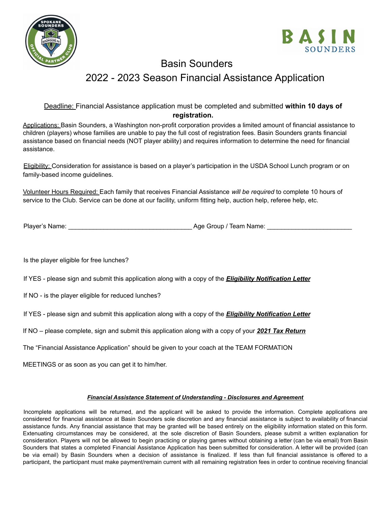



## Basin Sounders 2022 - 2023 Season Financial Assistance Application

## Deadline: Financial Assistance application must be completed and submitted **within 10 days of registration.**

Applications: Basin Sounders, a Washington non-profit corporation provides a limited amount of financial assistance to children (players) whose families are unable to pay the full cost of registration fees. Basin Sounders grants financial assistance based on financial needs (NOT player ability) and requires information to determine the need for financial assistance.

Eligibility: Consideration for assistance is based on a player's participation in the USDA School Lunch program or on family-based income guidelines.

Volunteer Hours Required: Each family that receives Financial Assistance *will be required* to complete 10 hours of service to the Club. Service can be done at our facility, uniform fitting help, auction help, referee help, etc.

Player's Name: \_\_\_\_\_\_\_\_\_\_\_\_\_\_\_\_\_\_\_\_\_\_\_\_\_\_\_\_\_\_\_\_\_\_\_ Age Group / Team Name: \_\_\_\_\_\_\_\_\_\_\_\_\_\_\_\_\_\_\_\_\_\_\_\_

Is the player eligible for free lunches?

If YES - please sign and submit this application along with a copy of the *Eligibility Notification Letter*

If NO - is the player eligible for reduced lunches?

If YES - please sign and submit this application along with a copy of the *Eligibility Notification Letter*

If NO – please complete, sign and submit this application along with a copy of your *2021 Tax Return*

The "Financial Assistance Application" should be given to your coach at the TEAM FORMATION

MEETINGS or as soon as you can get it to him/her.

## *Financial Assistance Statement of Understanding - Disclosures and Agreement*

Incomplete applications will be returned, and the applicant will be asked to provide the information. Complete applications are considered for financial assistance at Basin Sounders sole discretion and any financial assistance is subject to availability of financial assistance funds. Any financial assistance that may be granted will be based entirely on the eligibility information stated on this form. Extenuating circumstances may be considered, at the sole discretion of Basin Sounders, please submit a written explanation for consideration. Players will not be allowed to begin practicing or playing games without obtaining a letter (can be via email) from Basin Sounders that states a completed Financial Assistance Application has been submitted for consideration. A letter will be provided (can be via email) by Basin Sounders when a decision of assistance is finalized. If less than full financial assistance is offered to a participant, the participant must make payment/remain current with all remaining registration fees in order to continue receiving financial